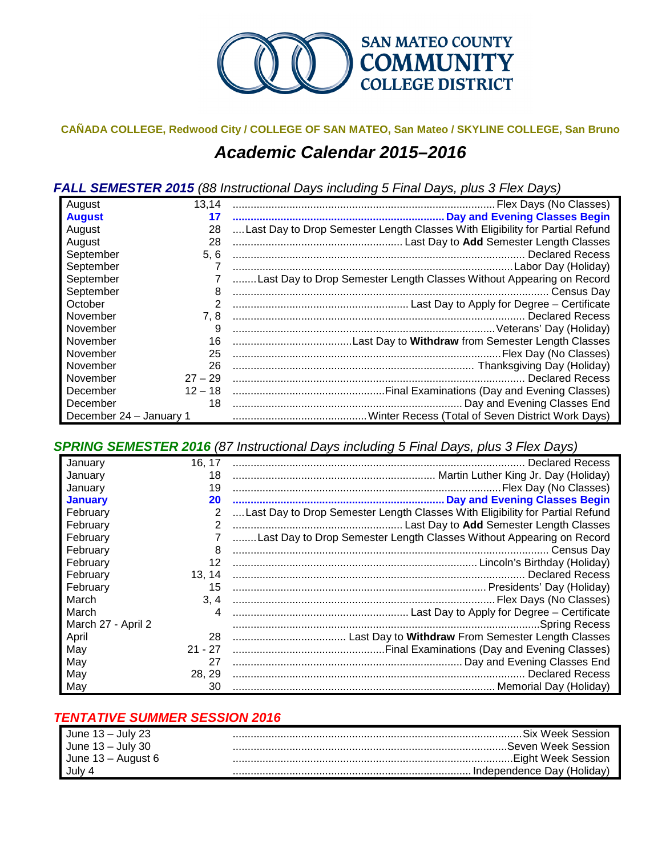

## **CAÑADA COLLEGE, Redwood City / COLLEGE OF SAN MATEO, San Mateo / SKYLINE COLLEGE, San Bruno** *Academic Calendar 2015–2016*

*FALL SEMESTER 2015 (88 Instructional Days including 5 Final Days, plus 3 Flex Days)*

| August                  | 13,14     |                                                                              |
|-------------------------|-----------|------------------------------------------------------------------------------|
| <b>August</b>           | 17        |                                                                              |
| August                  | 28        | Last Day to Drop Semester Length Classes With Eligibility for Partial Refund |
| August                  | 28        |                                                                              |
| September               | 5, 6      |                                                                              |
| September               |           |                                                                              |
| September               |           | Last Day to Drop Semester Length Classes Without Appearing on Record         |
| September               | 8         |                                                                              |
| October                 |           |                                                                              |
| November                | 7.8       |                                                                              |
| November                | 9         |                                                                              |
| November                | 16        |                                                                              |
| November                | 25        |                                                                              |
| November                | 26        |                                                                              |
| November                | $27 - 29$ | <b>Declared Recess</b>                                                       |
| December                |           |                                                                              |
| December                | 18        | Day and Evening Classes End                                                  |
| December 24 - January 1 |           |                                                                              |

*SPRING SEMESTER 2016 (87 Instructional Days including 5 Final Days, plus 3 Flex Days)*

| January            | 16, 17    |                                                                              |
|--------------------|-----------|------------------------------------------------------------------------------|
| January            | 18        |                                                                              |
| January            | 19        |                                                                              |
| <b>January</b>     | 20        |                                                                              |
| February           | 2         | Last Day to Drop Semester Length Classes With Eligibility for Partial Refund |
| February           | 2         |                                                                              |
| February           |           | Last Day to Drop Semester Length Classes Without Appearing on Record         |
| February           | 8         |                                                                              |
| February           | 12        |                                                                              |
| February           | 13.14     |                                                                              |
| February           | 15        |                                                                              |
| March              | 3, 4      |                                                                              |
| March              | 4         |                                                                              |
| March 27 - April 2 |           |                                                                              |
| April              | 28        |                                                                              |
| May                | $21 - 27$ |                                                                              |
| May                | 27        |                                                                              |
| May                | 28, 29    |                                                                              |
| May                | 30        |                                                                              |

## *TENTATIVE SUMMER SESSION 2016*

| June $13 -$ July 23 | . Six Week Session           |
|---------------------|------------------------------|
| June $13 -$ July 30 |                              |
| June 13 – August 6  |                              |
| July 4              | . Independence Dav (Holidav) |